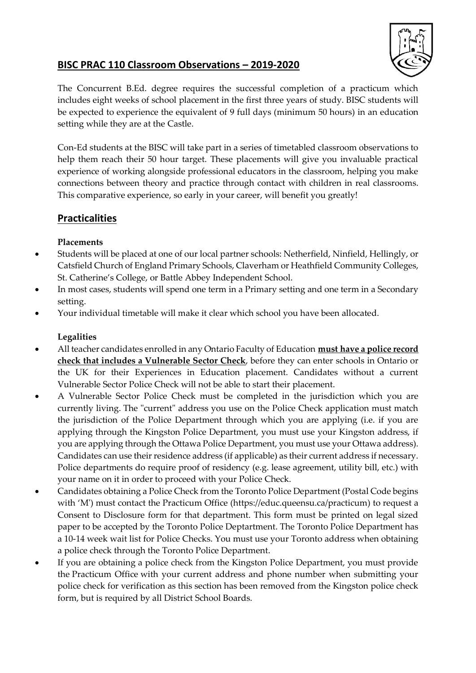

# **BISC PRAC 110 Classroom Observations – 2019-2020**

The Concurrent B.Ed. degree requires the successful completion of a practicum which includes eight weeks of school placement in the first three years of study. BISC students will be expected to experience the equivalent of 9 full days (minimum 50 hours) in an education setting while they are at the Castle.

Con-Ed students at the BISC will take part in a series of timetabled classroom observations to help them reach their 50 hour target. These placements will give you invaluable practical experience of working alongside professional educators in the classroom, helping you make connections between theory and practice through contact with children in real classrooms. This comparative experience, so early in your career, will benefit you greatly!

# **Practicalities**

# **Placements**

- Students will be placed at one of our local partner schools: Netherfield, Ninfield, Hellingly, or Catsfield Church of England Primary Schools, Claverham or Heathfield Community Colleges, St. Catherine's College, or Battle Abbey Independent School.
- In most cases, students will spend one term in a Primary setting and one term in a Secondary setting.
- Your individual timetable will make it clear which school you have been allocated.

# **Legalities**

- All teacher candidates enrolled in any Ontario Faculty of Education **must have a police record check that includes a Vulnerable Sector Check**, before they can enter schools in Ontario or the UK for their Experiences in Education placement. Candidates without a current Vulnerable Sector Police Check will not be able to start their placement.
- A Vulnerable Sector Police Check must be completed in the jurisdiction which you are currently living. The "current" address you use on the Police Check application must match the jurisdiction of the Police Department through which you are applying (i.e. if you are applying through the Kingston Police Department, you must use your Kingston address, if you are applying through the Ottawa Police Department, you must use your Ottawa address). Candidates can use their residence address (if applicable) as their current address if necessary. Police departments do require proof of residency (e.g. lease agreement, utility bill, etc.) with your name on it in order to proceed with your Police Check.
- Candidates obtaining a Police Check from the Toronto Police Department (Postal Code begins with 'M') must contact the Practicum Office (https://educ.queensu.ca/practicum) to request a Consent to Disclosure form for that department. This form must be printed on legal sized paper to be accepted by the Toronto Police Deptartment. The Toronto Police Department has a 10-14 week wait list for Police Checks. You must use your Toronto address when obtaining a police check through the Toronto Police Department.
- If you are obtaining a police check from the Kingston Police Department, you must provide the [Practicum Office](http://educ.queensu.ca/practicum) with your current address and phone number when submitting your police check for verification as this section has been removed from the Kingston police check form, but is required by all District School Boards.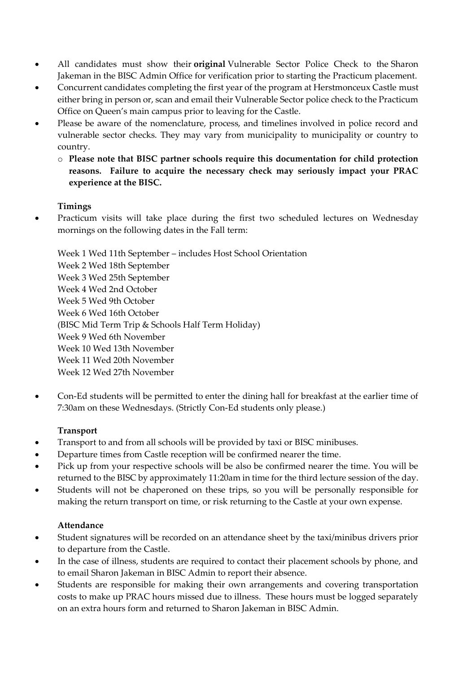- All candidates must show their **original** Vulnerable Sector Police Check to the Sharon Jakeman in the BISC Admin Office for verification prior to starting the Practicum placement.
- Concurrent candidates completing the first year of the program at Herstmonceux Castle must either bring in person or, scan and email their Vulnerable Sector police check to the Practicum Office on Queen's main campus prior to leaving for the Castle.
- Please be aware of the nomenclature, process, and timelines involved in police record and vulnerable sector checks. They may vary from municipality to municipality or country to country.
	- o **Please note that BISC partner schools require this documentation for child protection reasons. Failure to acquire the necessary check may seriously impact your PRAC experience at the BISC.**

#### **Timings**

• Practicum visits will take place during the first two scheduled lectures on Wednesday mornings on the following dates in the Fall term:

Week 1 Wed 11th September – includes Host School Orientation Week 2 Wed 18th September Week 3 Wed 25th September Week 4 Wed 2nd October Week 5 Wed 9th October Week 6 Wed 16th October (BISC Mid Term Trip & Schools Half Term Holiday) Week 9 Wed 6th November Week 10 Wed 13th November Week 11 Wed 20th November Week 12 Wed 27th November

• Con-Ed students will be permitted to enter the dining hall for breakfast at the earlier time of 7:30am on these Wednesdays. (Strictly Con-Ed students only please.)

#### **Transport**

- Transport to and from all schools will be provided by taxi or BISC minibuses.
- Departure times from Castle reception will be confirmed nearer the time.
- Pick up from your respective schools will be also be confirmed nearer the time. You will be returned to the BISC by approximately 11:20am in time for the third lecture session of the day.
- Students will not be chaperoned on these trips, so you will be personally responsible for making the return transport on time, or risk returning to the Castle at your own expense.

#### **Attendance**

- Student signatures will be recorded on an attendance sheet by the taxi/minibus drivers prior to departure from the Castle.
- In the case of illness, students are required to contact their placement schools by phone, and to email Sharon Jakeman in BISC Admin to report their absence.
- Students are responsible for making their own arrangements and covering transportation costs to make up PRAC hours missed due to illness. These hours must be logged separately on an extra hours form and returned to Sharon Jakeman in BISC Admin.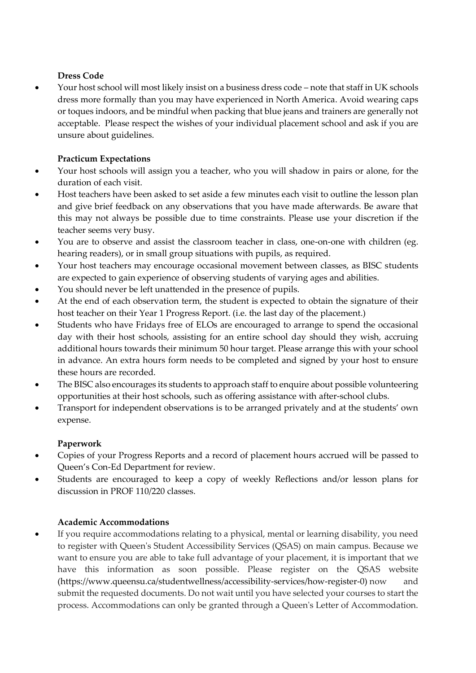### **Dress Code**

• Your host school will most likely insist on a business dress code – note that staff in UK schools dress more formally than you may have experienced in North America. Avoid wearing caps or toques indoors, and be mindful when packing that blue jeans and trainers are generally not acceptable. Please respect the wishes of your individual placement school and ask if you are unsure about guidelines.

## **Practicum Expectations**

- Your host schools will assign you a teacher, who you will shadow in pairs or alone, for the duration of each visit.
- Host teachers have been asked to set aside a few minutes each visit to outline the lesson plan and give brief feedback on any observations that you have made afterwards. Be aware that this may not always be possible due to time constraints. Please use your discretion if the teacher seems very busy.
- You are to observe and assist the classroom teacher in class, one-on-one with children (eg. hearing readers), or in small group situations with pupils, as required.
- Your host teachers may encourage occasional movement between classes, as BISC students are expected to gain experience of observing students of varying ages and abilities.
- You should never be left unattended in the presence of pupils.
- At the end of each observation term, the student is expected to obtain the signature of their host teacher on their Year 1 Progress Report. (i.e. the last day of the placement.)
- Students who have Fridays free of ELOs are encouraged to arrange to spend the occasional day with their host schools, assisting for an entire school day should they wish, accruing additional hours towards their minimum 50 hour target. Please arrange this with your school in advance. An extra hours form needs to be completed and signed by your host to ensure these hours are recorded.
- The BISC also encourages its students to approach staff to enquire about possible volunteering opportunities at their host schools, such as offering assistance with after-school clubs.
- Transport for independent observations is to be arranged privately and at the students' own expense.

# **Paperwork**

- Copies of your Progress Reports and a record of placement hours accrued will be passed to Queen's Con-Ed Department for review.
- Students are encouraged to keep a copy of weekly Reflections and/or lesson plans for discussion in PROF 110/220 classes.

#### **Academic Accommodations**

If you require accommodations relating to a physical, mental or learning disability, you need to register with Queen's Student Accessibility Services (QSAS) on main campus. Because we want to ensure you are able to take full advantage of your placement, it is important that we have this information as soon possible. Please register on the QSAS website (https://www.queensu.ca/studentwellness/accessibility-services/how-register-0) now and submit the requested documents. Do not wait until you have selected your courses to start the process. Accommodations can only be granted through a Queen's Letter of Accommodation.